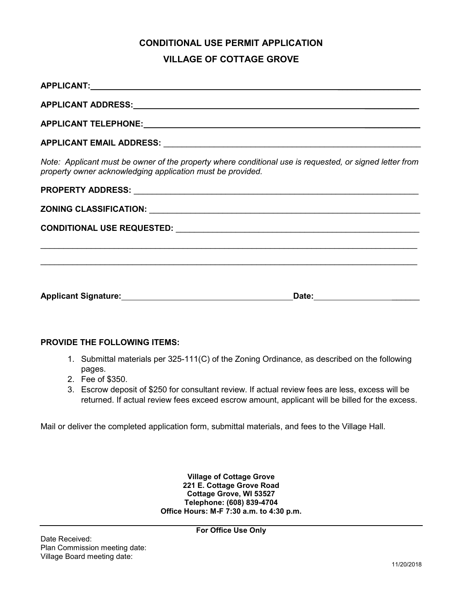# **CONDITIONAL USE PERMIT APPLICATION VILLAGE OF COTTAGE GROVE**

| APPLICANT ADDRESS: APPLICANT ADDRESS:                                                                                                                                 |  |  |  |
|-----------------------------------------------------------------------------------------------------------------------------------------------------------------------|--|--|--|
|                                                                                                                                                                       |  |  |  |
| APPLICANT EMAIL ADDRESS: And All Annual Applicant Annual Applicant Activities and Application Activities and A                                                        |  |  |  |
| Note: Applicant must be owner of the property where conditional use is requested, or signed letter from<br>property owner acknowledging application must be provided. |  |  |  |
|                                                                                                                                                                       |  |  |  |
|                                                                                                                                                                       |  |  |  |
|                                                                                                                                                                       |  |  |  |
|                                                                                                                                                                       |  |  |  |
|                                                                                                                                                                       |  |  |  |
|                                                                                                                                                                       |  |  |  |
|                                                                                                                                                                       |  |  |  |

#### **PROVIDE THE FOLLOWING ITEMS:**

- 1. Submittal materials per 325-111(C) of the Zoning Ordinance, as described on the following pages.
- 2. Fee of \$350.
- 3. Escrow deposit of \$250 for consultant review. If actual review fees are less, excess will be returned. If actual review fees exceed escrow amount, applicant will be billed for the excess.

Mail or deliver the completed application form, submittal materials, and fees to the Village Hall.

**Village of Cottage Grove 221 E. Cottage Grove Road Cottage Grove, WI 53527 Telephone: (608) 839-4704 Office Hours: M-F 7:30 a.m. to 4:30 p.m.**

**For Office Use Only**

Date Received: Plan Commission meeting date: Village Board meeting date: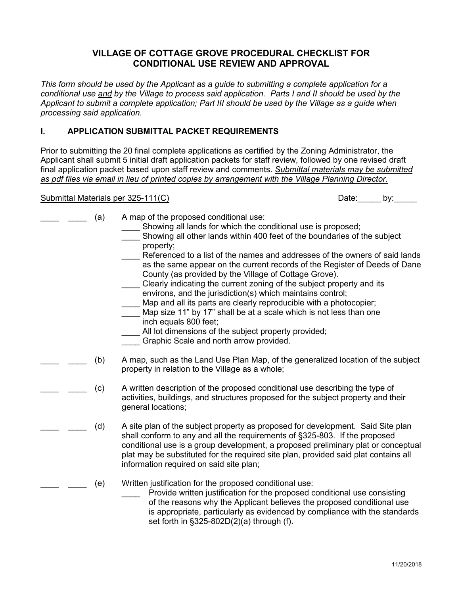# **VILLAGE OF COTTAGE GROVE PROCEDURAL CHECKLIST FOR CONDITIONAL USE REVIEW AND APPROVAL**

*This form should be used by the Applicant as a guide to submitting a complete application for a conditional use and by the Village to process said application. Parts I and II should be used by the Applicant to submit a complete application; Part III should be used by the Village as a guide when processing said application.*

## **I. APPLICATION SUBMITTAL PACKET REQUIREMENTS**

Prior to submitting the 20 final complete applications as certified by the Zoning Administrator, the Applicant shall submit 5 initial draft application packets for staff review, followed by one revised draft final application packet based upon staff review and comments. *Submittal materials may be submitted as pdf files via email in lieu of printed copies by arrangement with the Village Planning Director.*

# Submittal Materials per 325-111(C) Submittal Materials per 325-111(C) Date: Date:

| (a) | A map of the proposed conditional use:<br>Showing all lands for which the conditional use is proposed;<br>Showing all other lands within 400 feet of the boundaries of the subject<br>property;<br>Referenced to a list of the names and addresses of the owners of said lands<br>as the same appear on the current records of the Register of Deeds of Dane<br>County (as provided by the Village of Cottage Grove).<br>Clearly indicating the current zoning of the subject property and its<br>environs, and the jurisdiction(s) which maintains control;<br>Map and all its parts are clearly reproducible with a photocopier;<br>Map size 11" by 17" shall be at a scale which is not less than one<br>inch equals 800 feet;<br>All lot dimensions of the subject property provided;<br>Graphic Scale and north arrow provided. |
|-----|--------------------------------------------------------------------------------------------------------------------------------------------------------------------------------------------------------------------------------------------------------------------------------------------------------------------------------------------------------------------------------------------------------------------------------------------------------------------------------------------------------------------------------------------------------------------------------------------------------------------------------------------------------------------------------------------------------------------------------------------------------------------------------------------------------------------------------------|
| (b) | A map, such as the Land Use Plan Map, of the generalized location of the subject<br>property in relation to the Village as a whole;                                                                                                                                                                                                                                                                                                                                                                                                                                                                                                                                                                                                                                                                                                  |
| (c) | A written description of the proposed conditional use describing the type of<br>activities, buildings, and structures proposed for the subject property and their<br>general locations;                                                                                                                                                                                                                                                                                                                                                                                                                                                                                                                                                                                                                                              |
| (d) | A site plan of the subject property as proposed for development. Said Site plan<br>shall conform to any and all the requirements of §325-803. If the proposed<br>conditional use is a group development, a proposed preliminary plat or conceptual<br>plat may be substituted for the required site plan, provided said plat contains all<br>information required on said site plan;                                                                                                                                                                                                                                                                                                                                                                                                                                                 |
| (e) | Written justification for the proposed conditional use:<br>Provide written justification for the proposed conditional use consisting<br>of the reasons why the Applicant believes the proposed conditional use<br>is appropriate, particularly as evidenced by compliance with the standards<br>set forth in $\S325-802D(2)(a)$ through (f).                                                                                                                                                                                                                                                                                                                                                                                                                                                                                         |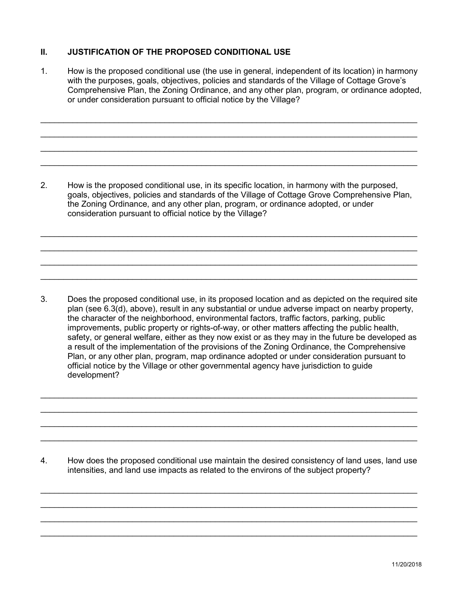### **II. JUSTIFICATION OF THE PROPOSED CONDITIONAL USE**

1. How is the proposed conditional use (the use in general, independent of its location) in harmony with the purposes, goals, objectives, policies and standards of the Village of Cottage Grove's Comprehensive Plan, the Zoning Ordinance, and any other plan, program, or ordinance adopted, or under consideration pursuant to official notice by the Village?

\_\_\_\_\_\_\_\_\_\_\_\_\_\_\_\_\_\_\_\_\_\_\_\_\_\_\_\_\_\_\_\_\_\_\_\_\_\_\_\_\_\_\_\_\_\_\_\_\_\_\_\_\_\_\_\_\_\_\_\_\_\_\_\_\_\_\_\_\_\_\_\_\_\_\_\_\_\_\_\_\_\_ \_\_\_\_\_\_\_\_\_\_\_\_\_\_\_\_\_\_\_\_\_\_\_\_\_\_\_\_\_\_\_\_\_\_\_\_\_\_\_\_\_\_\_\_\_\_\_\_\_\_\_\_\_\_\_\_\_\_\_\_\_\_\_\_\_\_\_\_\_\_\_\_\_\_\_\_\_\_\_\_\_\_ \_\_\_\_\_\_\_\_\_\_\_\_\_\_\_\_\_\_\_\_\_\_\_\_\_\_\_\_\_\_\_\_\_\_\_\_\_\_\_\_\_\_\_\_\_\_\_\_\_\_\_\_\_\_\_\_\_\_\_\_\_\_\_\_\_\_\_\_\_\_\_\_\_\_\_\_\_\_\_\_\_\_ \_\_\_\_\_\_\_\_\_\_\_\_\_\_\_\_\_\_\_\_\_\_\_\_\_\_\_\_\_\_\_\_\_\_\_\_\_\_\_\_\_\_\_\_\_\_\_\_\_\_\_\_\_\_\_\_\_\_\_\_\_\_\_\_\_\_\_\_\_\_\_\_\_\_\_\_\_\_\_\_\_\_

2. How is the proposed conditional use, in its specific location, in harmony with the purposed, goals, objectives, policies and standards of the Village of Cottage Grove Comprehensive Plan, the Zoning Ordinance, and any other plan, program, or ordinance adopted, or under consideration pursuant to official notice by the Village?

\_\_\_\_\_\_\_\_\_\_\_\_\_\_\_\_\_\_\_\_\_\_\_\_\_\_\_\_\_\_\_\_\_\_\_\_\_\_\_\_\_\_\_\_\_\_\_\_\_\_\_\_\_\_\_\_\_\_\_\_\_\_\_\_\_\_\_\_\_\_\_\_\_\_\_\_\_\_\_\_\_\_ \_\_\_\_\_\_\_\_\_\_\_\_\_\_\_\_\_\_\_\_\_\_\_\_\_\_\_\_\_\_\_\_\_\_\_\_\_\_\_\_\_\_\_\_\_\_\_\_\_\_\_\_\_\_\_\_\_\_\_\_\_\_\_\_\_\_\_\_\_\_\_\_\_\_\_\_\_\_\_\_\_\_ \_\_\_\_\_\_\_\_\_\_\_\_\_\_\_\_\_\_\_\_\_\_\_\_\_\_\_\_\_\_\_\_\_\_\_\_\_\_\_\_\_\_\_\_\_\_\_\_\_\_\_\_\_\_\_\_\_\_\_\_\_\_\_\_\_\_\_\_\_\_\_\_\_\_\_\_\_\_\_\_\_\_ \_\_\_\_\_\_\_\_\_\_\_\_\_\_\_\_\_\_\_\_\_\_\_\_\_\_\_\_\_\_\_\_\_\_\_\_\_\_\_\_\_\_\_\_\_\_\_\_\_\_\_\_\_\_\_\_\_\_\_\_\_\_\_\_\_\_\_\_\_\_\_\_\_\_\_\_\_\_\_\_\_\_

3. Does the proposed conditional use, in its proposed location and as depicted on the required site plan (see 6.3(d), above), result in any substantial or undue adverse impact on nearby property, the character of the neighborhood, environmental factors, traffic factors, parking, public improvements, public property or rights-of-way, or other matters affecting the public health, safety, or general welfare, either as they now exist or as they may in the future be developed as a result of the implementation of the provisions of the Zoning Ordinance, the Comprehensive Plan, or any other plan, program, map ordinance adopted or under consideration pursuant to official notice by the Village or other governmental agency have jurisdiction to guide development?

\_\_\_\_\_\_\_\_\_\_\_\_\_\_\_\_\_\_\_\_\_\_\_\_\_\_\_\_\_\_\_\_\_\_\_\_\_\_\_\_\_\_\_\_\_\_\_\_\_\_\_\_\_\_\_\_\_\_\_\_\_\_\_\_\_\_\_\_\_\_\_\_\_\_\_\_\_\_\_\_\_\_ \_\_\_\_\_\_\_\_\_\_\_\_\_\_\_\_\_\_\_\_\_\_\_\_\_\_\_\_\_\_\_\_\_\_\_\_\_\_\_\_\_\_\_\_\_\_\_\_\_\_\_\_\_\_\_\_\_\_\_\_\_\_\_\_\_\_\_\_\_\_\_\_\_\_\_\_\_\_\_\_\_\_ \_\_\_\_\_\_\_\_\_\_\_\_\_\_\_\_\_\_\_\_\_\_\_\_\_\_\_\_\_\_\_\_\_\_\_\_\_\_\_\_\_\_\_\_\_\_\_\_\_\_\_\_\_\_\_\_\_\_\_\_\_\_\_\_\_\_\_\_\_\_\_\_\_\_\_\_\_\_\_\_\_\_ \_\_\_\_\_\_\_\_\_\_\_\_\_\_\_\_\_\_\_\_\_\_\_\_\_\_\_\_\_\_\_\_\_\_\_\_\_\_\_\_\_\_\_\_\_\_\_\_\_\_\_\_\_\_\_\_\_\_\_\_\_\_\_\_\_\_\_\_\_\_\_\_\_\_\_\_\_\_\_\_\_\_

4. How does the proposed conditional use maintain the desired consistency of land uses, land use intensities, and land use impacts as related to the environs of the subject property?

\_\_\_\_\_\_\_\_\_\_\_\_\_\_\_\_\_\_\_\_\_\_\_\_\_\_\_\_\_\_\_\_\_\_\_\_\_\_\_\_\_\_\_\_\_\_\_\_\_\_\_\_\_\_\_\_\_\_\_\_\_\_\_\_\_\_\_\_\_\_\_\_\_\_\_\_\_\_\_\_\_\_ \_\_\_\_\_\_\_\_\_\_\_\_\_\_\_\_\_\_\_\_\_\_\_\_\_\_\_\_\_\_\_\_\_\_\_\_\_\_\_\_\_\_\_\_\_\_\_\_\_\_\_\_\_\_\_\_\_\_\_\_\_\_\_\_\_\_\_\_\_\_\_\_\_\_\_\_\_\_\_\_\_\_ \_\_\_\_\_\_\_\_\_\_\_\_\_\_\_\_\_\_\_\_\_\_\_\_\_\_\_\_\_\_\_\_\_\_\_\_\_\_\_\_\_\_\_\_\_\_\_\_\_\_\_\_\_\_\_\_\_\_\_\_\_\_\_\_\_\_\_\_\_\_\_\_\_\_\_\_\_\_\_\_\_\_ \_\_\_\_\_\_\_\_\_\_\_\_\_\_\_\_\_\_\_\_\_\_\_\_\_\_\_\_\_\_\_\_\_\_\_\_\_\_\_\_\_\_\_\_\_\_\_\_\_\_\_\_\_\_\_\_\_\_\_\_\_\_\_\_\_\_\_\_\_\_\_\_\_\_\_\_\_\_\_\_\_\_